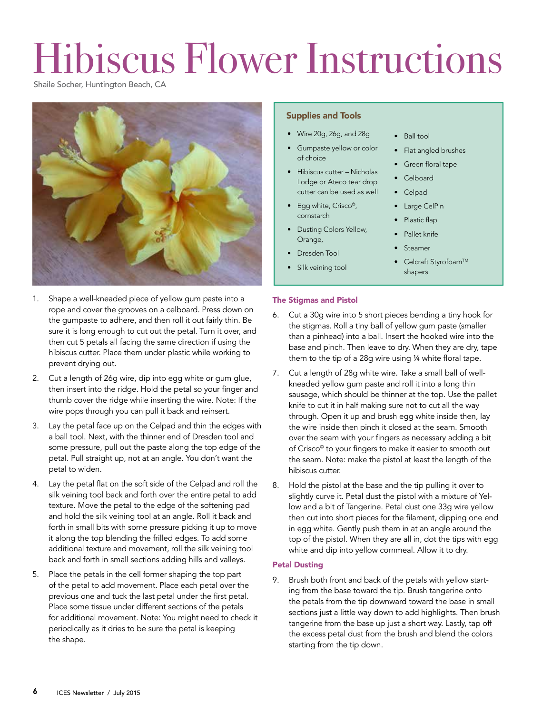## Hibiscus Flower Instructions

Shaile Socher, Huntington Beach, CA



- 1. Shape a well-kneaded piece of yellow gum paste into a rope and cover the grooves on a celboard. Press down on the gumpaste to adhere, and then roll it out fairly thin. Be sure it is long enough to cut out the petal. Turn it over, and then cut 5 petals all facing the same direction if using the hibiscus cutter. Place them under plastic while working to prevent drying out.
- 2. Cut a length of 26g wire, dip into egg white or gum glue, then insert into the ridge. Hold the petal so your finger and thumb cover the ridge while inserting the wire. Note: If the wire pops through you can pull it back and reinsert.
- 3. Lay the petal face up on the Celpad and thin the edges with a ball tool. Next, with the thinner end of Dresden tool and some pressure, pull out the paste along the top edge of the petal. Pull straight up, not at an angle. You don't want the petal to widen.
- 4. Lay the petal flat on the soft side of the Celpad and roll the silk veining tool back and forth over the entire petal to add texture. Move the petal to the edge of the softening pad and hold the silk veining tool at an angle. Roll it back and forth in small bits with some pressure picking it up to move it along the top blending the frilled edges. To add some additional texture and movement, roll the silk veining tool back and forth in small sections adding hills and valleys.
- 5. Place the petals in the cell former shaping the top part of the petal to add movement. Place each petal over the previous one and tuck the last petal under the first petal. Place some tissue under different sections of the petals for additional movement. Note: You might need to check it periodically as it dries to be sure the petal is keeping the shape.

## Supplies and Tools

- Wire 20g, 26g, and 28g
- Gumpaste yellow or color of choice
- Hibiscus cutter Nicholas Lodge or Ateco tear drop cutter can be used as well
- Egg white, Crisco<sup>®</sup>, cornstarch
- Dusting Colors Yellow, Orange,
- Dresden Tool
- Silk veining tool
- Ball tool
- Flat angled brushes
- Green floral tape
- Celboard
- Celpad
- Large CelPin
- Plastic flap
- Pallet knife
- **Steamer**
- Celcraft Styrofoam™ shapers

## The Stigmas and Pistol

- 6. Cut a 30g wire into 5 short pieces bending a tiny hook for the stigmas. Roll a tiny ball of yellow gum paste (smaller than a pinhead) into a ball. Insert the hooked wire into the base and pinch. Then leave to dry. When they are dry, tape them to the tip of a 28g wire using ¼ white floral tape.
- Cut a length of 28g white wire. Take a small ball of wellkneaded yellow gum paste and roll it into a long thin sausage, which should be thinner at the top. Use the pallet knife to cut it in half making sure not to cut all the way through. Open it up and brush egg white inside then, lay the wire inside then pinch it closed at the seam. Smooth over the seam with your fingers as necessary adding a bit of Crisco© to your fingers to make it easier to smooth out the seam. Note: make the pistol at least the length of the hibiscus cutter.
- 8. Hold the pistol at the base and the tip pulling it over to slightly curve it. Petal dust the pistol with a mixture of Yellow and a bit of Tangerine. Petal dust one 33g wire yellow then cut into short pieces for the filament, dipping one end in egg white. Gently push them in at an angle around the top of the pistol. When they are all in, dot the tips with egg white and dip into yellow cornmeal. Allow it to dry.

## Petal Dusting

9. Brush both front and back of the petals with yellow starting from the base toward the tip. Brush tangerine onto the petals from the tip downward toward the base in small sections just a little way down to add highlights. Then brush tangerine from the base up just a short way. Lastly, tap off the excess petal dust from the brush and blend the colors starting from the tip down.